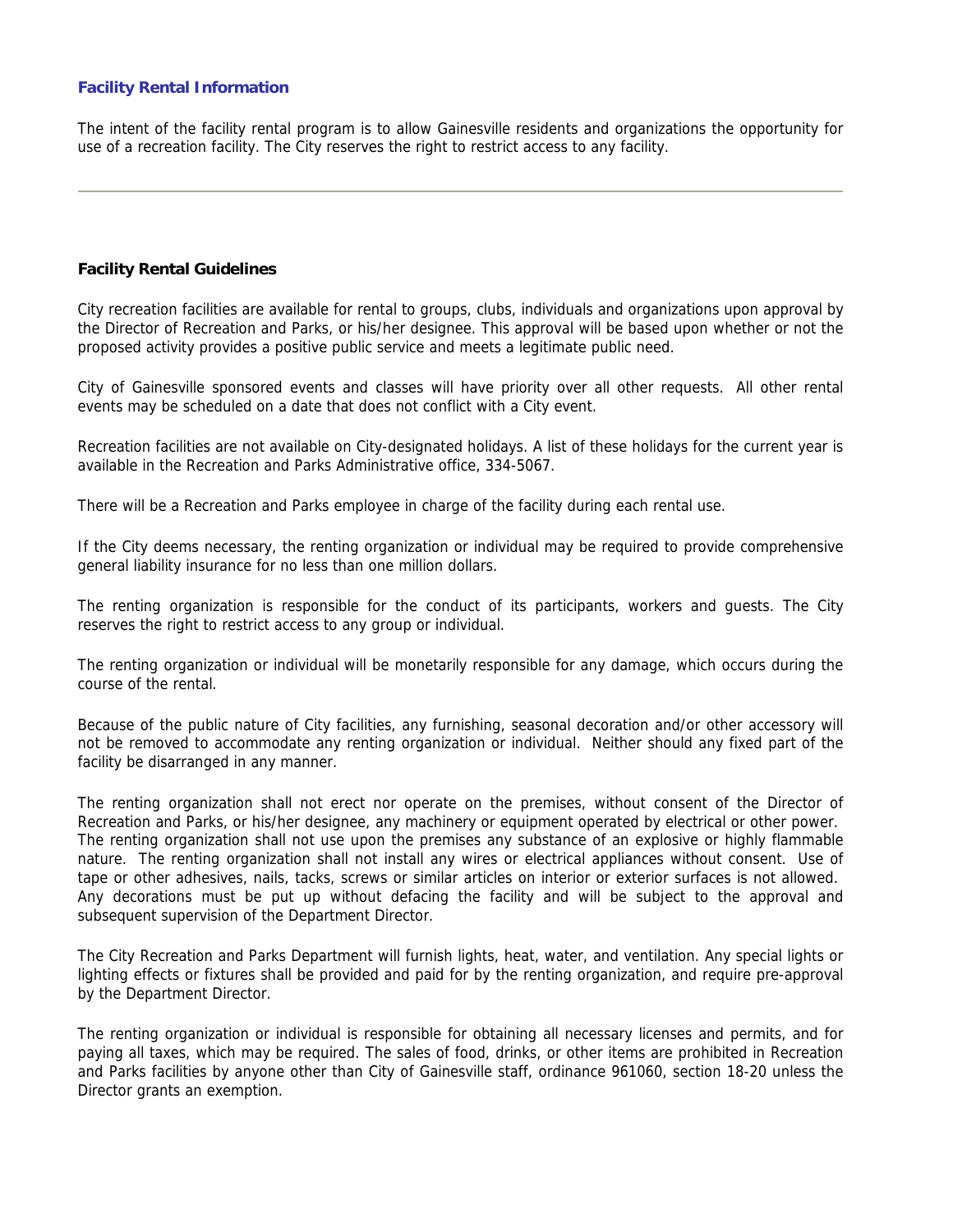## **Facility Rental Information**

The intent of the facility rental program is to allow Gainesville residents and organizations the opportunity for use of a recreation facility. The City reserves the right to restrict access to any facility.

#### **Facility Rental Guidelines**

City recreation facilities are available for rental to groups, clubs, individuals and organizations upon approval by the Director of Recreation and Parks, or his/her designee. This approval will be based upon whether or not the proposed activity provides a positive public service and meets a legitimate public need.

City of Gainesville sponsored events and classes will have priority over all other requests. All other rental events may be scheduled on a date that does not conflict with a City event.

Recreation facilities are not available on City-designated holidays. A list of these holidays for the current year is available in the Recreation and Parks Administrative office, 334-5067.

There will be a Recreation and Parks employee in charge of the facility during each rental use.

If the City deems necessary, the renting organization or individual may be required to provide comprehensive general liability insurance for no less than one million dollars.

The renting organization is responsible for the conduct of its participants, workers and guests. The City reserves the right to restrict access to any group or individual.

The renting organization or individual will be monetarily responsible for any damage, which occurs during the course of the rental.

Because of the public nature of City facilities, any furnishing, seasonal decoration and/or other accessory will not be removed to accommodate any renting organization or individual. Neither should any fixed part of the facility be disarranged in any manner.

The renting organization shall not erect nor operate on the premises, without consent of the Director of Recreation and Parks, or his/her designee, any machinery or equipment operated by electrical or other power. The renting organization shall not use upon the premises any substance of an explosive or highly flammable nature. The renting organization shall not install any wires or electrical appliances without consent. Use of tape or other adhesives, nails, tacks, screws or similar articles on interior or exterior surfaces is not allowed. Any decorations must be put up without defacing the facility and will be subject to the approval and subsequent supervision of the Department Director.

The City Recreation and Parks Department will furnish lights, heat, water, and ventilation. Any special lights or lighting effects or fixtures shall be provided and paid for by the renting organization, and require pre-approval by the Department Director.

The renting organization or individual is responsible for obtaining all necessary licenses and permits, and for paying all taxes, which may be required. The sales of food, drinks, or other items are prohibited in Recreation and Parks facilities by anyone other than City of Gainesville staff, ordinance 961060, section 18-20 unless the Director grants an exemption.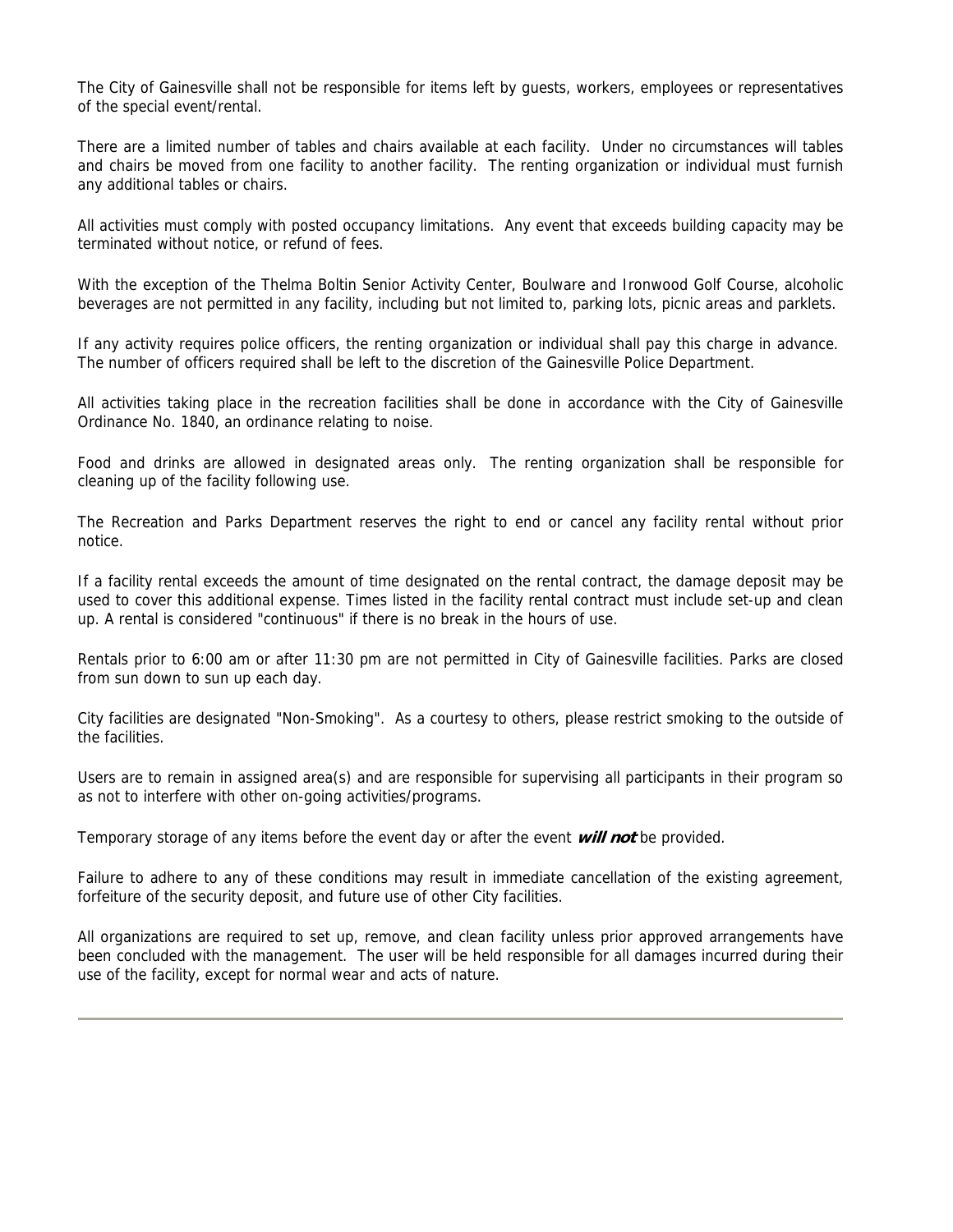The City of Gainesville shall not be responsible for items left by guests, workers, employees or representatives of the special event/rental.

There are a limited number of tables and chairs available at each facility. Under no circumstances will tables and chairs be moved from one facility to another facility. The renting organization or individual must furnish any additional tables or chairs.

All activities must comply with posted occupancy limitations. Any event that exceeds building capacity may be terminated without notice, or refund of fees.

With the exception of the Thelma Boltin Senior Activity Center, Boulware and Ironwood Golf Course, alcoholic beverages are not permitted in any facility, including but not limited to, parking lots, picnic areas and parklets.

If any activity requires police officers, the renting organization or individual shall pay this charge in advance. The number of officers required shall be left to the discretion of the Gainesville Police Department.

All activities taking place in the recreation facilities shall be done in accordance with the City of Gainesville Ordinance No. 1840, an ordinance relating to noise.

Food and drinks are allowed in designated areas only. The renting organization shall be responsible for cleaning up of the facility following use.

The Recreation and Parks Department reserves the right to end or cancel any facility rental without prior notice.

If a facility rental exceeds the amount of time designated on the rental contract, the damage deposit may be used to cover this additional expense. Times listed in the facility rental contract must include set-up and clean up. A rental is considered "continuous" if there is no break in the hours of use.

Rentals prior to 6:00 am or after 11:30 pm are not permitted in City of Gainesville facilities. Parks are closed from sun down to sun up each day.

City facilities are designated "Non-Smoking". As a courtesy to others, please restrict smoking to the outside of the facilities.

Users are to remain in assigned area(s) and are responsible for supervising all participants in their program so as not to interfere with other on-going activities/programs.

Temporary storage of any items before the event day or after the event **will not** be provided.

Failure to adhere to any of these conditions may result in immediate cancellation of the existing agreement, forfeiture of the security deposit, and future use of other City facilities.

All organizations are required to set up, remove, and clean facility unless prior approved arrangements have been concluded with the management. The user will be held responsible for all damages incurred during their use of the facility, except for normal wear and acts of nature.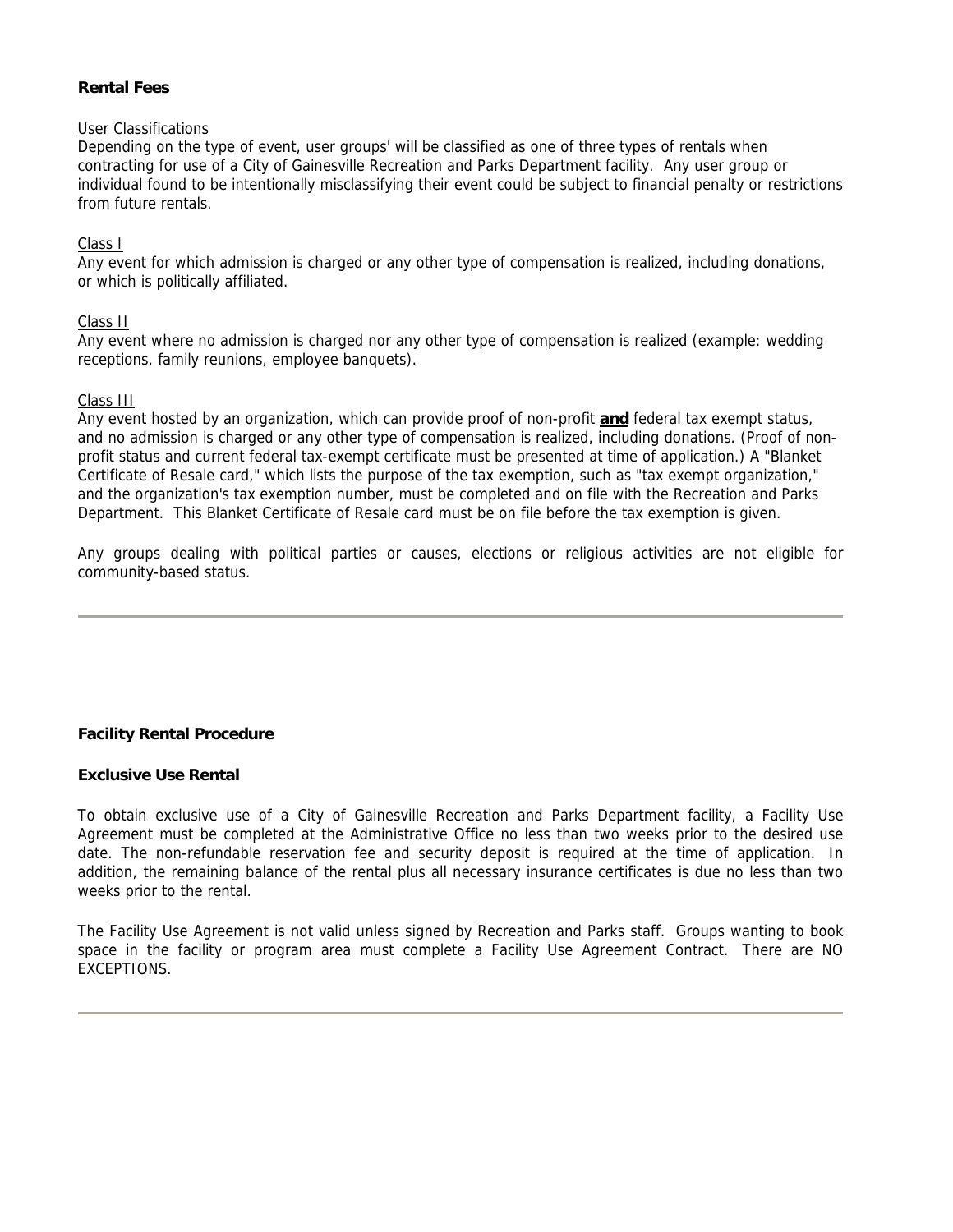## **Rental Fees**

## User Classifications

Depending on the type of event, user groups' will be classified as one of three types of rentals when contracting for use of a City of Gainesville Recreation and Parks Department facility. Any user group or individual found to be intentionally misclassifying their event could be subject to financial penalty or restrictions from future rentals.

## Class I

Any event for which admission is charged or any other type of compensation is realized, including donations, or which is politically affiliated.

### Class II

Any event where no admission is charged nor any other type of compensation is realized (example: wedding receptions, family reunions, employee banquets).

### Class III

Any event hosted by an organization, which can provide proof of non-profit **and** federal tax exempt status, and no admission is charged or any other type of compensation is realized, including donations. (Proof of nonprofit status and current federal tax-exempt certificate must be presented at time of application.) A "Blanket Certificate of Resale card," which lists the purpose of the tax exemption, such as "tax exempt organization," and the organization's tax exemption number, must be completed and on file with the Recreation and Parks Department. This Blanket Certificate of Resale card must be on file before the tax exemption is given.

Any groups dealing with political parties or causes, elections or religious activities are not eligible for community-based status.

# **Facility Rental Procedure**

### **Exclusive Use Rental**

To obtain exclusive use of a City of Gainesville Recreation and Parks Department facility, a Facility Use Agreement must be completed at the Administrative Office no less than two weeks prior to the desired use date. The non-refundable reservation fee and security deposit is required at the time of application. In addition, the remaining balance of the rental plus all necessary insurance certificates is due no less than two weeks prior to the rental.

The Facility Use Agreement is not valid unless signed by Recreation and Parks staff. Groups wanting to book space in the facility or program area must complete a Facility Use Agreement Contract. There are NO EXCEPTIONS.